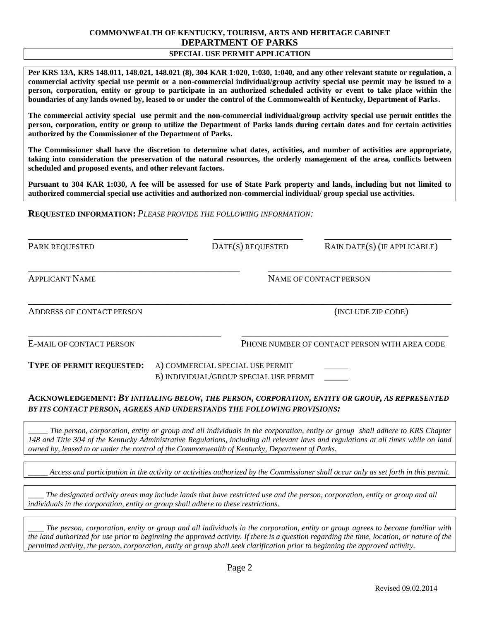## **COMMONWEALTH OF KENTUCKY, TOURISM, ARTS AND HERITAGE CABINET DEPARTMENT OF PARKS**

#### **SPECIAL USE PERMIT APPLICATION**

**Per KRS 13A, KRS 148.011, 148.021, 148.021 (8), 304 KAR 1:020, 1:030, 1:040, and any other relevant statute or regulation, a commercial activity special use permit or a non-commercial individual/group activity special use permit may be issued to a person, corporation, entity or group to participate in an authorized scheduled activity or event to take place within the boundaries of any lands owned by, leased to or under the control of the Commonwealth of Kentucky, Department of Parks.** 

**The commercial activity special use permit and the non-commercial individual/group activity special use permit entitles the person, corporation, entity or group to utilize the Department of Parks lands during certain dates and for certain activities authorized by the Commissioner of the Department of Parks.** 

**The Commissioner shall have the discretion to determine what dates, activities, and number of activities are appropriate, taking into consideration the preservation of the natural resources, the orderly management of the area, conflicts between scheduled and proposed events, and other relevant factors.**

**Pursuant to 304 KAR 1:030, A fee will be assessed for use of State Park property and lands, including but not limited to authorized commercial special use activities and authorized non-commercial individual/ group special use activities.**

**REQUESTED INFORMATION:** *PLEASE PROVIDE THE FOLLOWING INFORMATION:*

\_\_\_\_\_\_\_\_\_\_\_\_\_\_\_\_\_\_\_\_\_\_\_\_\_\_\_\_\_\_\_\_\_\_ \_\_\_\_\_\_\_\_\_\_\_\_\_\_\_\_\_\_\_ \_\_\_\_\_\_\_\_\_\_\_\_\_\_\_\_\_\_\_\_\_\_\_\_\_\_\_ PARK REQUESTED DATE(S) REQUESTED RAIN DATE(S) (IF APPLICABLE) \_\_\_\_\_\_\_\_\_\_\_\_\_\_\_\_\_\_\_\_\_\_\_\_\_\_\_\_\_\_\_\_\_\_\_\_\_\_\_\_\_\_\_\_\_ \_\_\_\_\_\_\_\_\_\_\_\_\_\_\_\_\_\_\_\_\_\_\_\_\_\_\_\_\_\_\_\_\_\_\_\_\_\_\_ APPLICANT NAME NAME NAME OF CONTACT PERSON *\_\_\_\_\_\_\_\_\_\_\_\_\_\_\_\_\_\_\_\_\_\_\_\_\_\_\_\_\_\_\_\_\_\_\_\_\_\_\_\_\_\_\_\_\_\_\_\_\_\_\_\_\_\_\_\_\_\_\_\_\_\_\_\_\_\_\_\_\_\_\_\_\_\_\_\_\_\_\_\_\_\_\_\_\_\_\_\_\_\_* ADDRESS OF CONTACT PERSON (INCLUDE ZIP CODE) \_\_\_\_\_\_\_\_\_\_\_\_\_\_\_\_\_\_\_\_\_\_\_\_\_\_\_\_\_\_\_\_\_\_\_\_\_\_\_\_\_ \_\_\_\_\_\_\_\_\_\_\_\_\_\_\_\_\_\_\_\_\_\_\_\_\_\_\_\_\_\_\_\_\_\_\_\_\_\_\_\_\_\_\_\_ E-MAIL OF CONTACT PERSON PHONE NUMBER OF CONTACT PERSON WITH AREA CODE **TYPE OF PERMIT REQUESTED:** A) COMMERCIAL SPECIAL USE PERMIT \_\_\_\_\_ B) INDIVIDUAL/GROUP SPECIAL USE PERMIT

#### **ACKNOWLEDGEMENT:** *BY INITIALING BELOW, THE PERSON, CORPORATION, ENTITY OR GROUP, AS REPRESENTED BY ITS CONTACT PERSON, AGREES AND UNDERSTANDS THE FOLLOWING PROVISIONS:*

*\_\_\_\_\_ The person, corporation, entity or group and all individuals in the corporation, entity or group shall adhere to KRS Chapter 148 and Title 304 of the Kentucky Administrative Regulations, including all relevant laws and regulations at all times while on land owned by, leased to or under the control of the Commonwealth of Kentucky, Department of Parks.*

*\_\_\_\_\_ Access and participation in the activity or activities authorized by the Commissioner shall occur only as set forth in this permit.*

*\_\_\_\_ The designated activity areas may include lands that have restricted use and the person, corporation, entity or group and all individuals in the corporation, entity or group shall adhere to these restrictions.*

*\_\_\_\_ The person, corporation, entity or group and all individuals in the corporation, entity or group agrees to become familiar with the land authorized for use prior to beginning the approved activity. If there is a question regarding the time, location, or nature of the permitted activity, the person, corporation, entity or group shall seek clarification prior to beginning the approved activity.*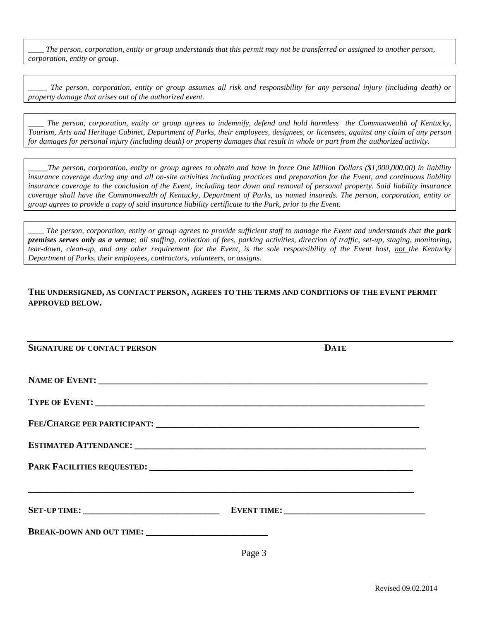*\_\_\_\_ The person, corporation, entity or group understands that this permit may not be transferred or assigned to another person, corporation, entity or group.*

\_\_\_\_ *The person, corporation, entity or group assumes all risk and responsibility for any personal injury (including death) or property damage that arises out of the authorized event.*

*\_\_\_\_ The person, corporation, entity or group agrees to indemnify, defend and hold harmless the Commonwealth of Kentucky, Tourism, Arts and Heritage Cabinet, Department of Parks, their employees, designees, or licensees, against any claim of any person for damages for personal injury (including death) or property damages that result in whole or part from the authorized activity.*

*\_\_\_\_\_The person, corporation, entity or group agrees to obtain and have in force One Million Dollars (\$1,000,000.00) in liability insurance coverage during any and all on-site activities including practices and preparation for the Event, and continuous liability insurance coverage to the conclusion of the Event, including tear down and removal of personal property. Said liability insurance coverage shall have the Commonwealth of Kentucky, Department of Parks, as named insureds. The person, corporation, entity or group agrees to provide a copy of said insurance liability certificate to the Park, prior to the Event.*

*\_\_\_\_ The person, corporation, entity or group agrees to provide sufficient staff to manage the Event and understands that the park premises serves only as a venue; all staffing, collection of fees, parking activities, direction of traffic, set-up, staging, monitoring, tear-down, clean-up, and any other requirement for the Event, is the sole responsibility of the Event host, not the Kentucky Department of Parks, their employees, contractors, volunteers, or assigns.*

#### **THE UNDERSIGNED, AS CONTACT PERSON, AGREES TO THE TERMS AND CONDITIONS OF THE EVENT PERMIT APPROVED BELOW.**

| <b>SIGNATURE OF CONTACT PERSON</b> | <b>DATE</b>                                                                      |
|------------------------------------|----------------------------------------------------------------------------------|
|                                    |                                                                                  |
|                                    |                                                                                  |
|                                    |                                                                                  |
|                                    |                                                                                  |
|                                    |                                                                                  |
|                                    | ,我们也不能会在这里,我们也不能会在这里,我们也不能会在这里,我们也不能会在这里,我们也不能会在这里,我们也不能会在这里,我们也不能会在这里,我们也不能会不能会 |
|                                    |                                                                                  |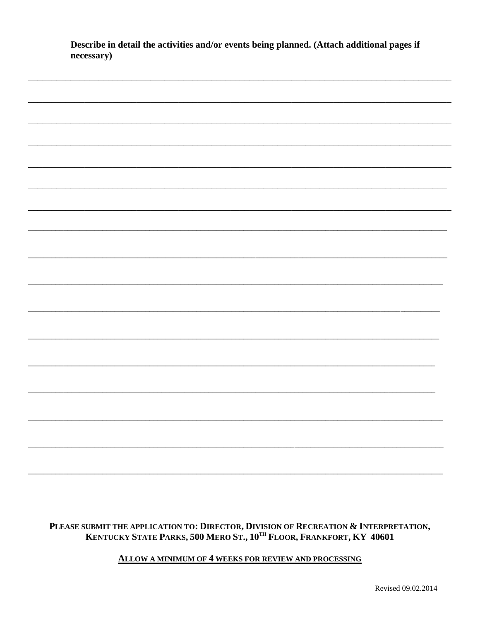| necessary) |  |  |
|------------|--|--|
|            |  |  |
|            |  |  |
|            |  |  |
|            |  |  |
|            |  |  |
|            |  |  |
|            |  |  |
|            |  |  |
|            |  |  |
|            |  |  |
|            |  |  |
|            |  |  |
|            |  |  |
|            |  |  |
|            |  |  |
|            |  |  |
|            |  |  |
|            |  |  |
|            |  |  |
|            |  |  |
|            |  |  |
|            |  |  |
|            |  |  |
|            |  |  |
|            |  |  |
|            |  |  |
|            |  |  |
|            |  |  |
|            |  |  |
|            |  |  |
|            |  |  |
|            |  |  |
|            |  |  |
|            |  |  |
|            |  |  |
|            |  |  |
|            |  |  |
|            |  |  |
|            |  |  |
|            |  |  |
|            |  |  |
|            |  |  |
|            |  |  |
|            |  |  |
|            |  |  |
|            |  |  |
|            |  |  |
|            |  |  |
|            |  |  |
|            |  |  |
|            |  |  |
|            |  |  |
|            |  |  |
|            |  |  |
|            |  |  |
|            |  |  |
|            |  |  |
|            |  |  |
|            |  |  |
|            |  |  |
|            |  |  |
|            |  |  |
|            |  |  |
|            |  |  |
|            |  |  |

Describe in detail the activities and/or events being planned. (Attach additional pages if

# PLEASE SUBMIT THE APPLICATION TO: DIRECTOR, DIVISION OF RECREATION & INTERPRETATION,<br>KENTUCKY STATE PARKS, 500 MERO ST., 10<sup>TH</sup> FLOOR, FRANKFORT, KY 40601

### **ALLOW A MINIMUM OF 4 WEEKS FOR REVIEW AND PROCESSING**